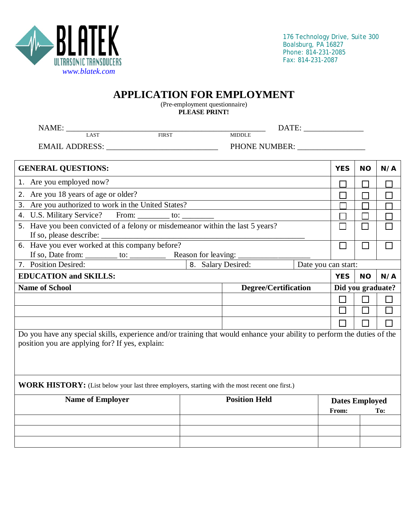

## **APPLICATION FOR EMPLOYMENT**

(Pre-employment questionnaire) **PLEASE PRINT!**

| $\label{eq:NAME} \begin{minipage}{0.9\linewidth} \textbf{NAME:} \xspace{0.0000cm} \begin{minipage}{0.9\linewidth} \centering \textbf{1} & \textbf{1} & \textbf{1} & \textbf{1} \\ \textbf{1} & \textbf{1} & \textbf{1} & \textbf{1} \\ \textbf{1} & \textbf{1} & \textbf{1} & \textbf{1} \\ \textbf{1} & \textbf{1} & \textbf{1} & \textbf{1} \\ \textbf{1} & \textbf{1} & \textbf{1} & \textbf{1} \\ \textbf{1} & \textbf{1} & \textbf{1} & \textbf$ |                                           |                      |  |                                       |           |                          |
|-------------------------------------------------------------------------------------------------------------------------------------------------------------------------------------------------------------------------------------------------------------------------------------------------------------------------------------------------------------------------------------------------------------------------------------------------------|-------------------------------------------|----------------------|--|---------------------------------------|-----------|--------------------------|
| <b>FIRST</b>                                                                                                                                                                                                                                                                                                                                                                                                                                          |                                           | <b>MIDDLE</b>        |  |                                       |           |                          |
| EMAIL ADDRESS: North and the second second second second second second second second second second second second second second second second second second second second second second second second second second second seco                                                                                                                                                                                                                        |                                           | PHONE NUMBER:        |  |                                       |           |                          |
| <b>GENERAL QUESTIONS:</b>                                                                                                                                                                                                                                                                                                                                                                                                                             |                                           |                      |  | <b>YES</b>                            | <b>NO</b> | N/A                      |
| 1. Are you employed now?                                                                                                                                                                                                                                                                                                                                                                                                                              |                                           |                      |  | $\Box$                                |           |                          |
| 2. Are you 18 years of age or older?                                                                                                                                                                                                                                                                                                                                                                                                                  |                                           |                      |  |                                       |           | $\overline{\phantom{0}}$ |
| 3. Are you authorized to work in the United States?                                                                                                                                                                                                                                                                                                                                                                                                   |                                           |                      |  |                                       |           |                          |
| 4. U.S. Military Service? From: ________ to: _                                                                                                                                                                                                                                                                                                                                                                                                        |                                           |                      |  |                                       |           | П                        |
| 5. Have you been convicted of a felony or misdemeanor within the last 5 years?<br>If so, please describe:                                                                                                                                                                                                                                                                                                                                             |                                           |                      |  |                                       |           |                          |
| 6. Have you ever worked at this company before?                                                                                                                                                                                                                                                                                                                                                                                                       |                                           |                      |  | $\mathsf{L}$                          |           | $\mathcal{L}$            |
| 7. Position Desired:                                                                                                                                                                                                                                                                                                                                                                                                                                  | 8. Salary Desired:<br>Date you can start: |                      |  |                                       |           |                          |
|                                                                                                                                                                                                                                                                                                                                                                                                                                                       |                                           |                      |  |                                       |           |                          |
| <b>EDUCATION</b> and <b>SKILLS:</b>                                                                                                                                                                                                                                                                                                                                                                                                                   |                                           |                      |  | <b>YES</b>                            | <b>NO</b> | N/A                      |
| <b>Name of School</b>                                                                                                                                                                                                                                                                                                                                                                                                                                 |                                           | Degree/Certification |  | Did you graduate?                     |           |                          |
|                                                                                                                                                                                                                                                                                                                                                                                                                                                       |                                           |                      |  | □                                     | П         | П                        |
|                                                                                                                                                                                                                                                                                                                                                                                                                                                       |                                           |                      |  |                                       |           | П                        |
|                                                                                                                                                                                                                                                                                                                                                                                                                                                       |                                           |                      |  | $\blacksquare$                        |           | П                        |
| Do you have any special skills, experience and/or training that would enhance your ability to perform the duties of the<br>position you are applying for? If yes, explain:                                                                                                                                                                                                                                                                            |                                           |                      |  |                                       |           |                          |
| <b>WORK HISTORY:</b> (List below your last three employers, starting with the most recent one first.)                                                                                                                                                                                                                                                                                                                                                 |                                           |                      |  |                                       |           |                          |
| <b>Name of Employer</b>                                                                                                                                                                                                                                                                                                                                                                                                                               |                                           | <b>Position Held</b> |  | <b>Dates Employed</b><br><b>From:</b> |           | To:                      |
|                                                                                                                                                                                                                                                                                                                                                                                                                                                       |                                           |                      |  |                                       |           |                          |